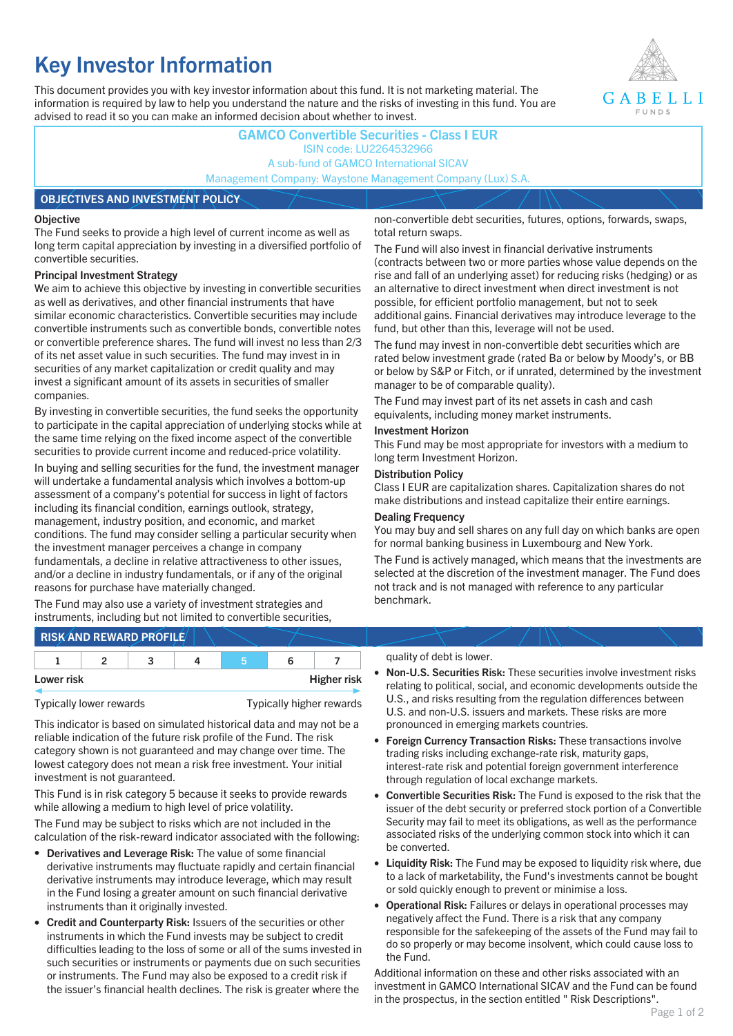# **Key Investor Information**

This document provides you with key investor information about this fund. It is not marketing material. The information is required by law to help you understand the nature and the risks of investing in this fund. You are advised to read it so you can make an informed decision about whether to invest.



### **GAMCO Convertible Securities - Class I EUR** ISIN code: LU2264532966 A sub-fund of GAMCO International SICAV Management Company: Waystone Management Company (Lux) S.A.

#### **OBJECTIVES AND INVESTMENT POLICY**

#### **Objective**

The Fund seeks to provide a high level of current income as well as long term capital appreciation by investing in a diversified portfolio of convertible securities.

#### **Principal Investment Strategy**

We aim to achieve this objective by investing in convertible securities as well as derivatives, and other financial instruments that have similar economic characteristics. Convertible securities may include convertible instruments such as convertible bonds, convertible notes or convertible preference shares. The fund will invest no less than 2/3 of its net asset value in such securities. The fund may invest in in securities of any market capitalization or credit quality and may invest a significant amount of its assets in securities of smaller companies.

By investing in convertible securities, the fund seeks the opportunity to participate in the capital appreciation of underlying stocks while at the same time relying on the fixed income aspect of the convertible securities to provide current income and reduced-price volatility.

In buying and selling securities for the fund, the investment manager will undertake a fundamental analysis which involves a bottom-up assessment of a company's potential for success in light of factors including its financial condition, earnings outlook, strategy, management, industry position, and economic, and market conditions. The fund may consider selling a particular security when the investment manager perceives a change in company fundamentals, a decline in relative attractiveness to other issues, and/or a decline in industry fundamentals, or if any of the original reasons for purchase have materially changed.

The Fund may also use a variety of investment strategies and instruments, including but not limited to convertible securities, non-convertible debt securities, futures, options, forwards, swaps, total return swaps.

The Fund will also invest in financial derivative instruments (contracts between two or more parties whose value depends on the rise and fall of an underlying asset) for reducing risks (hedging) or as an alternative to direct investment when direct investment is not possible, for efficient portfolio management, but not to seek additional gains. Financial derivatives may introduce leverage to the fund, but other than this, leverage will not be used.

The fund may invest in non-convertible debt securities which are rated below investment grade (rated Ba or below by Moody's, or BB or below by S&P or Fitch, or if unrated, determined by the investment manager to be of comparable quality).

The Fund may invest part of its net assets in cash and cash equivalents, including money market instruments.

#### **Investment Horizon**

This Fund may be most appropriate for investors with a medium to long term Investment Horizon.

#### **Distribution Policy**

Class I EUR are capitalization shares. Capitalization shares do not make distributions and instead capitalize their entire earnings.

#### **Dealing Frequency**

You may buy and sell shares on any full day on which banks are open for normal banking business in Luxembourg and New York.

The Fund is actively managed, which means that the investments are selected at the discretion of the investment manager. The Fund does not track and is not managed with reference to any particular benchmark.

## **RISK AND REWARD PROFILE**

| Lower risk |  |  |  | <b>Higher risk</b> |
|------------|--|--|--|--------------------|

Typically lower rewards Typically higher rewards

This indicator is based on simulated historical data and may not be a reliable indication of the future risk profile of the Fund. The risk category shown is not guaranteed and may change over time. The lowest category does not mean a risk free investment. Your initial investment is not guaranteed.

This Fund is in risk category 5 because it seeks to provide rewards while allowing a medium to high level of price volatility.

The Fund may be subject to risks which are not included in the calculation of the risk-reward indicator associated with the following:

- **Derivatives and Leverage Risk:** The value of some financial derivative instruments may fluctuate rapidly and certain financial derivative instruments may introduce leverage, which may result in the Fund losing a greater amount on such financial derivative instruments than it originally invested.
- **Credit and Counterparty Risk:** Issuers of the securities or other instruments in which the Fund invests may be subject to credit difficulties leading to the loss of some or all of the sums invested in such securities or instruments or payments due on such securities or instruments. The Fund may also be exposed to a credit risk if the issuer's financial health declines. The risk is greater where the

#### quality of debt is lower.

- **Non-U.S. Securities Risk:** These securities involve investment risks relating to political, social, and economic developments outside the U.S., and risks resulting from the regulation differences between U.S. and non-U.S. issuers and markets. These risks are more pronounced in emerging markets countries.
- **Foreign Currency Transaction Risks:** These transactions involve trading risks including exchange-rate risk, maturity gaps, interest-rate risk and potential foreign government interference through regulation of local exchange markets.
- **Convertible Securities Risk:** The Fund is exposed to the risk that the issuer of the debt security or preferred stock portion of a Convertible Security may fail to meet its obligations, as well as the performance associated risks of the underlying common stock into which it can be converted.
- **Liquidity Risk:** The Fund may be exposed to liquidity risk where, due to a lack of marketability, the Fund's investments cannot be bought or sold quickly enough to prevent or minimise a loss.
- **Operational Risk:** Failures or delays in operational processes may negatively affect the Fund. There is a risk that any company responsible for the safekeeping of the assets of the Fund may fail to do so properly or may become insolvent, which could cause loss to the Fund.

Additional information on these and other risks associated with an investment in GAMCO International SICAV and the Fund can be found in the prospectus, in the section entitled " Risk Descriptions".